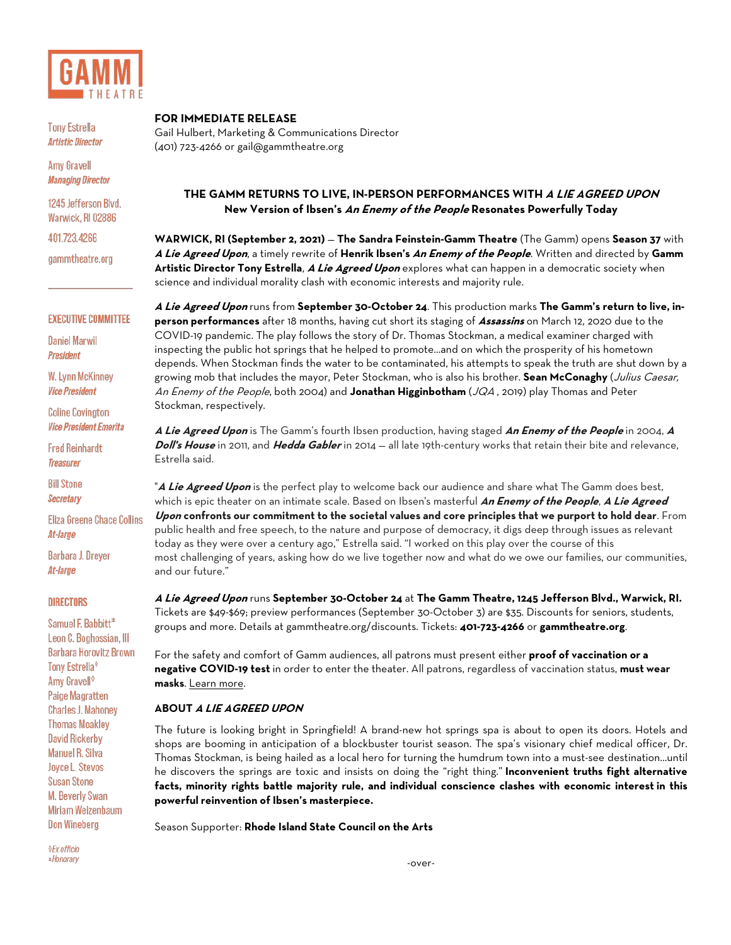

**Tony Estrella Artistic Director** 

**Amy Gravell Managing Director** 

1245 Jefferson Blvd. Warwick, RI 02886

401.723.4266

gammtheatre.org

### **EXECUTIVE COMMITTEE**

**Daniel Marwil President** 

**W. Lynn McKinney Vice President** 

**Coline Covington Vice President Emerita** 

**Fred Reinhardt Treasurer** 

**Bill Stone Secretary** 

**Eliza Greene Chace Collins** At-large

**Barbara J. Dreyer** At-large

#### **DIRECTORS**

Samuel F. Babbitt<sup>\*</sup> Leon C. Boghossian, III **Barbara Horovitz Brown** Tony Estrella<sup>®</sup> Amy Gravell<sup>®</sup> **Paige Magratten Charles J. Mahoney Thomas Moakley David Rickerby Manuel R. Silva** Joyce L. Stevos **Susan Stone** M. Beverly Swan Miriam Weizenbaum **Don Wineberg** 

**OEx officio** \*Honorary

### **FOR IMMEDIATE RELEASE**

Gail Hulbert, Marketing & Communications Director (401) 723-4266 or [gail@gammtheatre.org](mailto:gail@gammtheatre.org)

# **THE GAMM RETURNS TO LIVE, IN-PERSON PERFORMANCES WITH A LIE AGREED UPON New Version of Ibsen's An Enemy of the People Resonates Powerfully Today**

**WARWICK, RI (September 2, 2021)** — **The Sandra Feinstein-Gamm Theatre** (The Gamm) opens **Season 37** with **A Lie Agreed Upon**, a timely rewrite of **Henrik Ibsen's An Enemy of the People**. Written and directed by **Gamm Artistic Director Tony Estrella**, **A Lie Agreed Upon** explores what can happen in a democratic society when science and individual morality clash with economic interests and majority rule.

**A Lie Agreed Upon** runs from **September 30-October 24**. This production marks **The Gamm's return to live, inperson performances** after 18 months, having cut short its staging of **Assassins** on March 12, 2020 due to the COVID-19 pandemic. The play follows the story of Dr. Thomas Stockman, a medical examiner charged with inspecting the public hot springs that he helped to promote…and on which the prosperity of his hometown depends. When Stockman finds the water to be contaminated, his attempts to speak the truth are shut down by a growing mob that includes the mayor, Peter Stockman, who is also his brother. **Sean McConaghy** (Julius Caesar, An Enemy of the People, both 2004) and **Jonathan Higginbotham** (JQA , 2019) play Thomas and Peter Stockman, respectively.

**A Lie Agreed Upon** is The Gamm's fourth Ibsen production, having staged **An Enemy of the People** in 2004, **<sup>A</sup> Doll's House** in 2011, and **Hedda Gabler** in 2014 — all late 19th-century works that retain their bite and relevance, Estrella said.

"**A Lie Agreed Upon** is the perfect play to welcome back our audience and share what The Gamm does best, which is epic theater on an intimate scale. Based on Ibsen's masterful **An Enemy of the People**, **A Lie Agreed Upon confronts our commitment to the societal values and core principles that we purport to hold dear**. From public health and free speech, to the nature and purpose of democracy, it digs deep through issues as relevant today as they were over a century ago," Estrella said. "I worked on this play over the course of this most challenging of years, asking how do we live together now and what do we owe our families, our communities, and our future."

**A Lie Agreed Upon** runs **September 30-October 24** at **The Gamm Theatre, 1245 Jefferson Blvd., Warwick, RI.** Tickets are \$49-\$69; preview performances (September 30-October 3) are \$35. Discounts for seniors, students, groups and more. Details at gammtheatre.org/discounts. Tickets: **401-723-4266** or **gammtheatre.org**.

For the safety and comfort of Gamm audiences, all patrons must present either **proof of vaccination or a negative COVID-19 test** in order to enter the theater. All patrons, regardless of vaccination status, **must wear masks**. Learn more.

### **ABOUT A LIE AGREED UPON**

The future is looking bright in Springfield! A brand-new hot springs spa is about to open its doors. Hotels and shops are booming in anticipation of a blockbuster tourist season. The spa's visionary chief medical officer, Dr. Thomas Stockman, is being hailed as a local hero for turning the humdrum town into a must-see destination...until he discovers the springs are toxic and insists on doing the "right thing." **Inconvenient truths fight alternative facts, minority rights battle majority rule, and individual conscience clashes with economic interest in this powerful reinvention of Ibsen's masterpiece.**

Season Supporter: **Rhode Island State Council on the Arts**